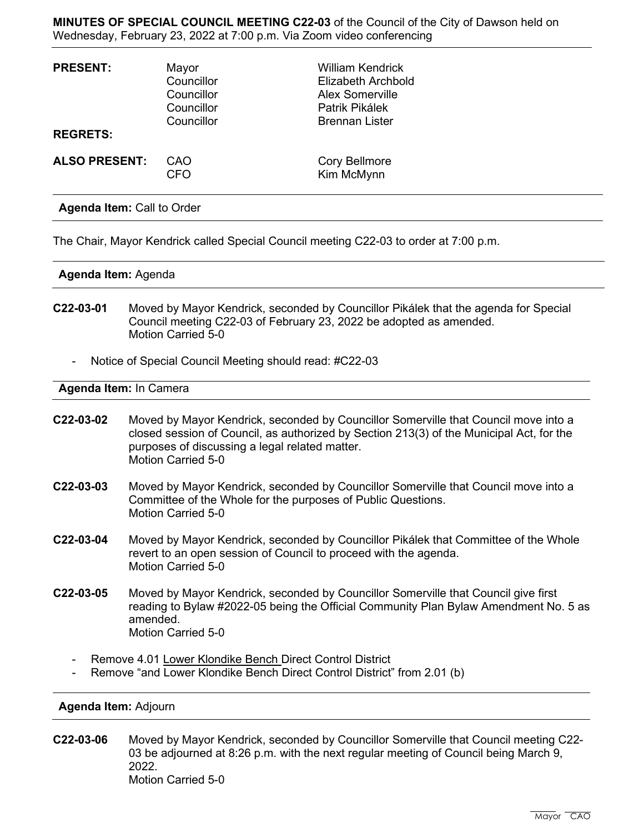**MINUTES OF SPECIAL COUNCIL MEETING C22-03** of the Council of the City of Dawson held on Wednesday, February 23, 2022 at 7:00 p.m. Via Zoom video conferencing

| <b>PRESENT:</b><br><b>REGRETS:</b> | Mayor<br>Councillor<br>Councillor<br>Councillor<br>Councillor | <b>William Kendrick</b><br><b>Elizabeth Archbold</b><br><b>Alex Somerville</b><br>Patrik Pikálek<br><b>Brennan Lister</b> |
|------------------------------------|---------------------------------------------------------------|---------------------------------------------------------------------------------------------------------------------------|
| <b>ALSO PRESENT:</b>               | CAO<br><b>CFO</b>                                             | <b>Cory Bellmore</b><br>Kim McMynn                                                                                        |

**Agenda Item:** Call to Order

The Chair, Mayor Kendrick called Special Council meeting C22-03 to order at 7:00 p.m.

## **Agenda Item:** Agenda

- **C22-03-01** Moved by Mayor Kendrick, seconded by Councillor Pikálek that the agenda for Special Council meeting C22-03 of February 23, 2022 be adopted as amended. Motion Carried 5-0
	- Notice of Special Council Meeting should read: #C22-03

## **Agenda Item:** In Camera

- **C22-03-02** Moved by Mayor Kendrick, seconded by Councillor Somerville that Council move into a closed session of Council, as authorized by Section 213(3) of the Municipal Act, for the purposes of discussing a legal related matter. Motion Carried 5-0
- **C22-03-03** Moved by Mayor Kendrick, seconded by Councillor Somerville that Council move into a Committee of the Whole for the purposes of Public Questions. Motion Carried 5-0
- **C22-03-04** Moved by Mayor Kendrick, seconded by Councillor Pikálek that Committee of the Whole revert to an open session of Council to proceed with the agenda. Motion Carried 5-0
- **C22-03-05** Moved by Mayor Kendrick, seconded by Councillor Somerville that Council give first reading to Bylaw #2022-05 being the Official Community Plan Bylaw Amendment No. 5 as amended. Motion Carried 5-0
	- Remove 4.01 Lower Klondike Bench Direct Control District
	- Remove "and Lower Klondike Bench Direct Control District" from 2.01 (b)

## **Agenda Item:** Adjourn

**C22-03-06** Moved by Mayor Kendrick, seconded by Councillor Somerville that Council meeting C22- 03 be adjourned at 8:26 p.m. with the next regular meeting of Council being March 9, 2022. Motion Carried 5-0